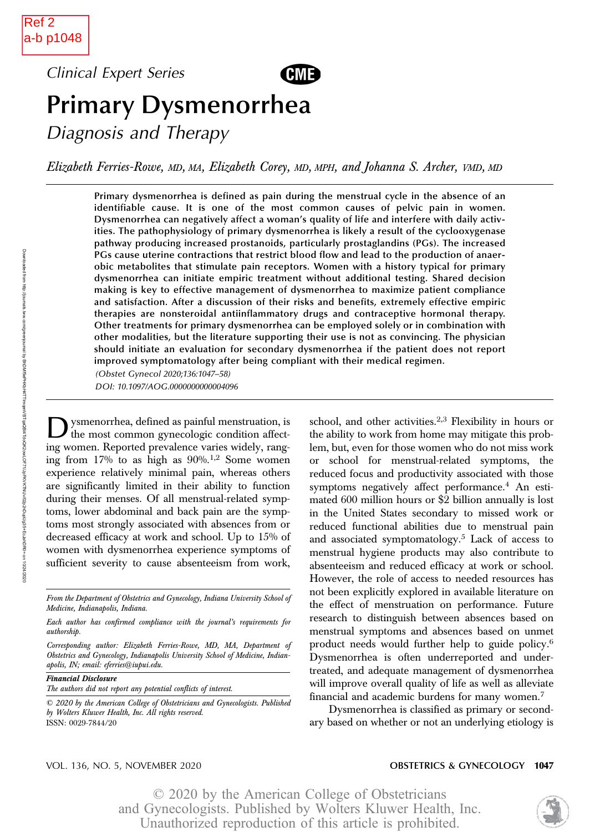Downloaded from

http://journals.lww.com/greenjournal

হ

BhDMf5ePHKbH4TTImqenVBTqaQBI4TdoQK2owLOF71/JpFKVKTNUv/02p2nDupUg35+EcJahDR0=

on 10/24/2020 Clinical Expert Series



# Primary Dysmenorrhea

Diagnosis and Therapy

Elizabeth Ferries-Rowe, MD, MA, Elizabeth Corey, MD, MPH, and Johanna S. Archer, VMD, MD

Primary dysmenorrhea is defined as pain during the menstrual cycle in the absence of an identifiable cause. It is one of the most common causes of pelvic pain in women. Dysmenorrhea can negatively affect a woman's quality of life and interfere with daily activities. The pathophysiology of primary dysmenorrhea is likely a result of the cyclooxygenase pathway producing increased prostanoids, particularly prostaglandins (PGs). The increased PGs cause uterine contractions that restrict blood flow and lead to the production of anaerobic metabolites that stimulate pain receptors. Women with a history typical for primary dysmenorrhea can initiate empiric treatment without additional testing. Shared decision making is key to effective management of dysmenorrhea to maximize patient compliance and satisfaction. After a discussion of their risks and benefits, extremely effective empiric therapies are nonsteroidal antiinflammatory drugs and contraceptive hormonal therapy. Other treatments for primary dysmenorrhea can be employed solely or in combination with other modalities, but the literature supporting their use is not as convincing. The physician should initiate an evaluation for secondary dysmenorrhea if the patient does not report improved symptomatology after being compliant with their medical regimen.

(Obstet Gynecol 2020;136:1047–58) DOI: 10.1097/AOG.0000000000004096

ysmenorrhea, defined as painful menstruation, is the most common gynecologic condition affecting women. Reported prevalence varies widely, ranging from  $17\%$  to as high as  $90\%$ .<sup>1,2</sup> Some women experience relatively minimal pain, whereas others are significantly limited in their ability to function during their menses. Of all menstrual-related symptoms, lower abdominal and back pain are the symptoms most strongly associated with absences from or decreased efficacy at work and school. Up to 15% of women with dysmenorrhea experience symptoms of sufficient severity to cause absenteeism from work,

Financial Disclosure

The authors did not report any potential conflicts of interest.

school, and other activities.2,3 Flexibility in hours or the ability to work from home may mitigate this problem, but, even for those women who do not miss work or school for menstrual-related symptoms, the reduced focus and productivity associated with those symptoms negatively affect performance.<sup>4</sup> An estimated 600 million hours or \$2 billion annually is lost in the United States secondary to missed work or reduced functional abilities due to menstrual pain and associated symptomatology.<sup>5</sup> Lack of access to menstrual hygiene products may also contribute to absenteeism and reduced efficacy at work or school. However, the role of access to needed resources has not been explicitly explored in available literature on the effect of menstruation on performance. Future research to distinguish between absences based on menstrual symptoms and absences based on unmet product needs would further help to guide policy.<sup>6</sup> Dysmenorrhea is often underreported and undertreated, and adequate management of dysmenorrhea will improve overall quality of life as well as alleviate financial and academic burdens for many women.<sup>7</sup>

Dysmenorrhea is classified as primary or secondary based on whether or not an underlying etiology is

### VOL. 136, NO. 5, NOVEMBER 2020 **CONTRIGUES CONTRIGUES CONTRIGUES CONTRIGUES CONTRIGUES**

From the Department of Obstetrics and Gynecology, Indiana University School of Medicine, Indianapolis, Indiana.

Each author has confirmed compliance with the journal's requirements for authorship.

Corresponding author: Elizabeth Ferries-Rowe, MD, MA, Department of Obstetrics and Gynecology, Indianapolis University School of Medicine, Indianapolis, IN; email: [eferries@iupui.edu.](mailto:eferries@iupui.edu)

<sup>© 2020</sup> by the American College of Obstetricians and Gynecologists. Published by Wolters Kluwer Health, Inc. All rights reserved. ISSN: 0029-7844/20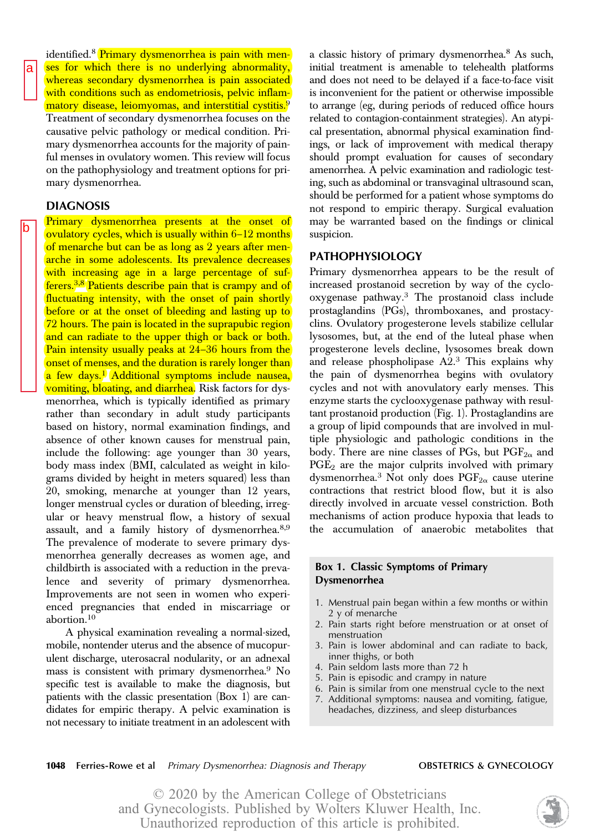on the pathophysiology and treatment options for primary dysmenorrhea. DIAGNOSIS Primary dysmenorrhea presents at the onset of ovulatory cycles, which is usually within 6–12 months

of menarche but can be as long as 2 years after men-

identified.<sup>8</sup> Primary dysmenorrhea is pain with menses for which there is no underlying abnormality, whereas secondary dysmenorrhea is pain associated with conditions such as endometriosis, pelvic inflammatory disease, leiomyomas, and interstitial cystitis.<sup>9</sup> Treatment of secondary dysmenorrhea focuses on the causative pelvic pathology or medical condition. Primary dysmenorrhea accounts for the majority of painful menses in ovulatory women. This review will focus

a

b

arche in some adolescents. Its prevalence decreases with increasing age in a large percentage of sufferers.3,8 Patients describe pain that is crampy and of fluctuating intensity, with the onset of pain shortly before or at the onset of bleeding and lasting up to 72 hours. The pain is located in the suprapubic region and can radiate to the upper thigh or back or both. Pain intensity usually peaks at 24–36 hours from the onset of menses, and the duration is rarely longer than a few days.<sup>1</sup> Additional symptoms include nausea, vomiting, bloating, and diarrhea. Risk factors for dysmenorrhea, which is typically identified as primary rather than secondary in adult study participants based on history, normal examination findings, and absence of other known causes for menstrual pain, include the following: age younger than 30 years, body mass index (BMI, calculated as weight in kilograms divided by height in meters squared) less than 20, smoking, menarche at younger than 12 years, longer menstrual cycles or duration of bleeding, irregular or heavy menstrual flow, a history of sexual assault, and a family history of dysmenorrhea.8,9 The prevalence of moderate to severe primary dysmenorrhea generally decreases as women age, and childbirth is associated with a reduction in the prevalence and severity of primary dysmenorrhea. Improvements are not seen in women who experienced pregnancies that ended in miscarriage or abortion.<sup>10</sup>

A physical examination revealing a normal-sized, mobile, nontender uterus and the absence of mucopurulent discharge, uterosacral nodularity, or an adnexal mass is consistent with primary dysmenorrhea.<sup>9</sup> No specific test is available to make the diagnosis, but patients with the classic presentation (Box 1) are candidates for empiric therapy. A pelvic examination is not necessary to initiate treatment in an adolescent with

a classic history of primary dysmenorrhea.8 As such, initial treatment is amenable to telehealth platforms and does not need to be delayed if a face-to-face visit is inconvenient for the patient or otherwise impossible to arrange (eg, during periods of reduced office hours related to contagion-containment strategies). An atypical presentation, abnormal physical examination findings, or lack of improvement with medical therapy should prompt evaluation for causes of secondary amenorrhea. A pelvic examination and radiologic testing, such as abdominal or transvaginal ultrasound scan, should be performed for a patient whose symptoms do not respond to empiric therapy. Surgical evaluation may be warranted based on the findings or clinical suspicion.

# PATHOPHYSIOLOGY

Primary dysmenorrhea appears to be the result of increased prostanoid secretion by way of the cyclooxygenase pathway.<sup>3</sup> The prostanoid class include prostaglandins (PGs), thromboxanes, and prostacyclins. Ovulatory progesterone levels stabilize cellular lysosomes, but, at the end of the luteal phase when progesterone levels decline, lysosomes break down and release phospholipase  $A2<sup>3</sup>$ . This explains why the pain of dysmenorrhea begins with ovulatory cycles and not with anovulatory early menses. This enzyme starts the cyclooxygenase pathway with resultant prostanoid production (Fig. 1). Prostaglandins are a group of lipid compounds that are involved in multiple physiologic and pathologic conditions in the body. There are nine classes of PGs, but  $\mathrm{PGF}_{2\alpha}$  and  $PGE<sub>2</sub>$  are the major culprits involved with primary dysmenorrhea.<sup>3</sup> Not only does  $PGF_{2\alpha}$  cause uterine contractions that restrict blood flow, but it is also directly involved in arcuate vessel constriction. Both mechanisms of action produce hypoxia that leads to the accumulation of anaerobic metabolites that

# Box 1. Classic Symptoms of Primary Dysmenorrhea

- 1. Menstrual pain began within a few months or within 2 y of menarche
- 2. Pain starts right before menstruation or at onset of menstruation
- 3. Pain is lower abdominal and can radiate to back, inner thighs, or both
- 4. Pain seldom lasts more than 72 h
- 5. Pain is episodic and crampy in nature
- 6. Pain is similar from one menstrual cycle to the next
- 7. Additional symptoms: nausea and vomiting, fatigue, headaches, dizziness, and sleep disturbances

**1048** Ferries-Rowe et al Primary Dysmenorrhea: Diagnosis and Therapy **OBSTETRICS & GYNECOLOGY**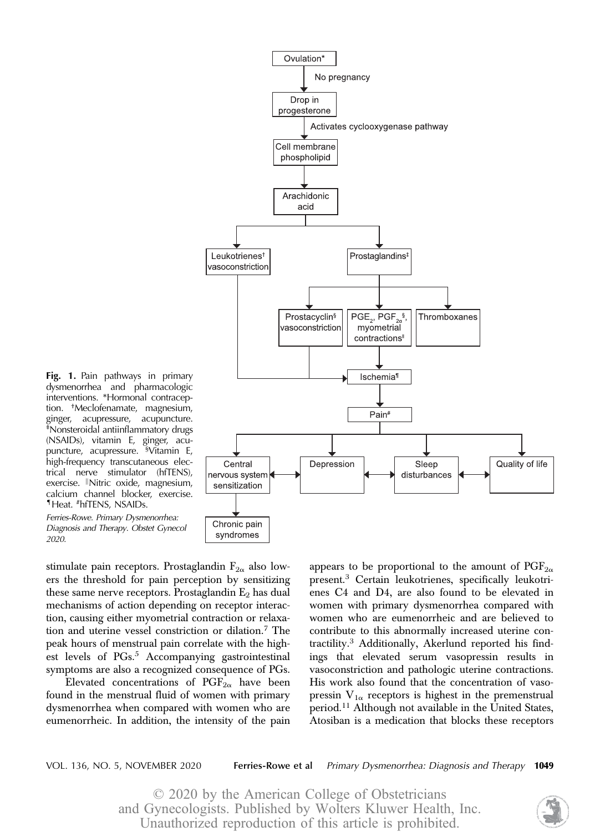

Fig. 1. Pain pathways in primary dysmenorrhea and pharmacologic interventions. \*Hormonal contraception. † Meclofenamate, magnesium, ginger, acupressure, acupuncture. ‡ Nonsteroidal antiinflammatory drugs (NSAIDs), vitamin E, ginger, acupuncture, acupressure. § Vitamin E, high-frequency transcutaneous electrical nerve stimulator (hfTENS), exercise. Nitric oxide, magnesium, calcium channel blocker, exercise. ¶Heat. #hfTENS, NSAIDs.

Ferries-Rowe. Primary Dysmenorrhea: Diagnosis and Therapy. Obstet Gynecol 2020.

stimulate pain receptors. Prostaglandin  $F_{2\alpha}$  also lowers the threshold for pain perception by sensitizing these same nerve receptors. Prostaglandin  $E_2$  has dual mechanisms of action depending on receptor interaction, causing either myometrial contraction or relaxation and uterine vessel constriction or dilation.<sup>7</sup> The peak hours of menstrual pain correlate with the highest levels of PGs.<sup>5</sup> Accompanying gastrointestinal symptoms are also a recognized consequence of PGs.

Elevated concentrations of  $PGF_{2\alpha}$  have been found in the menstrual fluid of women with primary dysmenorrhea when compared with women who are eumenorrheic. In addition, the intensity of the pain

appears to be proportional to the amount of  $PGF_{2\alpha}$ present.<sup>3</sup> Certain leukotrienes, specifically leukotrienes C4 and D4, are also found to be elevated in women with primary dysmenorrhea compared with women who are eumenorrheic and are believed to contribute to this abnormally increased uterine contractility.<sup>3</sup> Additionally, Akerlund reported his findings that elevated serum vasopressin results in vasoconstriction and pathologic uterine contractions. His work also found that the concentration of vasopressin  $V_{1\alpha}$  receptors is highest in the premenstrual period.<sup>11</sup> Although not available in the United States, Atosiban is a medication that blocks these receptors

VOL. 136, NO. 5, NOVEMBER 2020 Ferries-Rowe et al Primary Dysmenorrhea: Diagnosis and Therapy 1049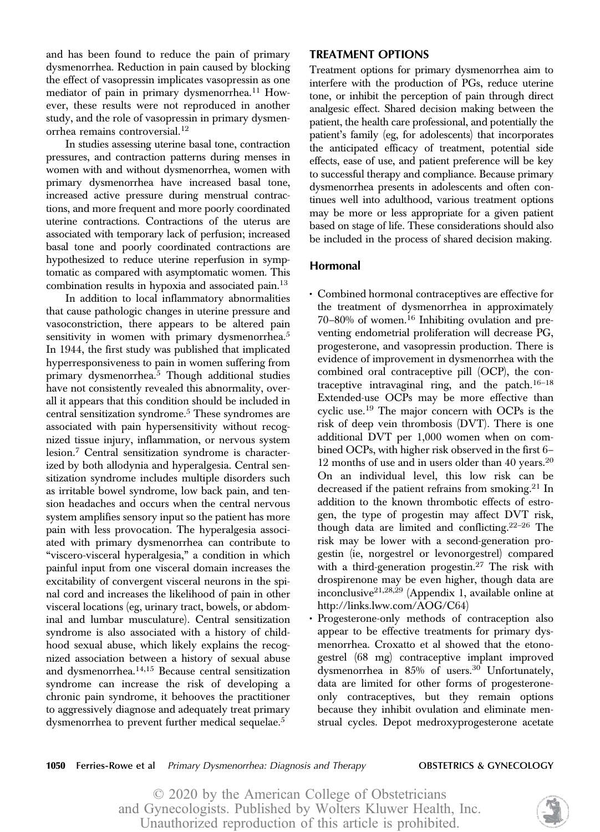and has been found to reduce the pain of primary dysmenorrhea. Reduction in pain caused by blocking the effect of vasopressin implicates vasopressin as one mediator of pain in primary dysmenorrhea.<sup>11</sup> However, these results were not reproduced in another study, and the role of vasopressin in primary dysmenorrhea remains controversial.<sup>12</sup>

In studies assessing uterine basal tone, contraction pressures, and contraction patterns during menses in women with and without dysmenorrhea, women with primary dysmenorrhea have increased basal tone, increased active pressure during menstrual contractions, and more frequent and more poorly coordinated uterine contractions. Contractions of the uterus are associated with temporary lack of perfusion; increased basal tone and poorly coordinated contractions are hypothesized to reduce uterine reperfusion in symptomatic as compared with asymptomatic women. This combination results in hypoxia and associated pain.13

In addition to local inflammatory abnormalities that cause pathologic changes in uterine pressure and vasoconstriction, there appears to be altered pain sensitivity in women with primary dysmenorrhea.<sup>5</sup> In 1944, the first study was published that implicated hyperresponsiveness to pain in women suffering from primary dysmenorrhea.<sup>5</sup> Though additional studies have not consistently revealed this abnormality, overall it appears that this condition should be included in central sensitization syndrome.5 These syndromes are associated with pain hypersensitivity without recognized tissue injury, inflammation, or nervous system lesion.<sup>7</sup> Central sensitization syndrome is characterized by both allodynia and hyperalgesia. Central sensitization syndrome includes multiple disorders such as irritable bowel syndrome, low back pain, and tension headaches and occurs when the central nervous system amplifies sensory input so the patient has more pain with less provocation. The hyperalgesia associated with primary dysmenorrhea can contribute to "viscero-visceral hyperalgesia," a condition in which painful input from one visceral domain increases the excitability of convergent visceral neurons in the spinal cord and increases the likelihood of pain in other visceral locations (eg, urinary tract, bowels, or abdominal and lumbar musculature). Central sensitization syndrome is also associated with a history of childhood sexual abuse, which likely explains the recognized association between a history of sexual abuse and dysmenorrhea.14,15 Because central sensitization syndrome can increase the risk of developing a chronic pain syndrome, it behooves the practitioner to aggressively diagnose and adequately treat primary dysmenorrhea to prevent further medical sequelae.<sup>5</sup>

# TREATMENT OPTIONS

Treatment options for primary dysmenorrhea aim to interfere with the production of PGs, reduce uterine tone, or inhibit the perception of pain through direct analgesic effect. Shared decision making between the patient, the health care professional, and potentially the patient's family (eg, for adolescents) that incorporates the anticipated efficacy of treatment, potential side effects, ease of use, and patient preference will be key to successful therapy and compliance. Because primary dysmenorrhea presents in adolescents and often continues well into adulthood, various treatment options may be more or less appropriate for a given patient based on stage of life. These considerations should also be included in the process of shared decision making.

# Hormonal

- Combined hormonal contraceptives are effective for the treatment of dysmenorrhea in approximately 70–80% of women.<sup>16</sup> Inhibiting ovulation and preventing endometrial proliferation will decrease PG, progesterone, and vasopressin production. There is evidence of improvement in dysmenorrhea with the combined oral contraceptive pill (OCP), the contraceptive intravaginal ring, and the patch. $16-18$ Extended-use OCPs may be more effective than cyclic use.<sup>19</sup> The major concern with OCPs is the risk of deep vein thrombosis (DVT). There is one additional DVT per 1,000 women when on combined OCPs, with higher risk observed in the first 6– 12 months of use and in users older than 40 years.<sup>20</sup> On an individual level, this low risk can be decreased if the patient refrains from smoking.<sup>21</sup> In addition to the known thrombotic effects of estrogen, the type of progestin may affect DVT risk, though data are limited and conflicting.22–<sup>26</sup> The risk may be lower with a second-generation progestin (ie, norgestrel or levonorgestrel) compared with a third-generation progestin.<sup>27</sup> The risk with drospirenone may be even higher, though data are inconclusive21,28,29 (Appendix 1, available online at [http://links.lww.com/AOG/C64\)](http://links.lww.com/AOG/C64)
- Progesterone-only methods of contraception also appear to be effective treatments for primary dysmenorrhea. Croxatto et al showed that the etonogestrel (68 mg) contraceptive implant improved dysmenorrhea in 85% of users.<sup>30</sup> Unfortunately, data are limited for other forms of progesteroneonly contraceptives, but they remain options because they inhibit ovulation and eliminate menstrual cycles. Depot medroxyprogesterone acetate

**1050** Ferries-Rowe et al Primary Dysmenorrhea: Diagnosis and Therapy **OBSTETRICS & GYNECOLOGY** 

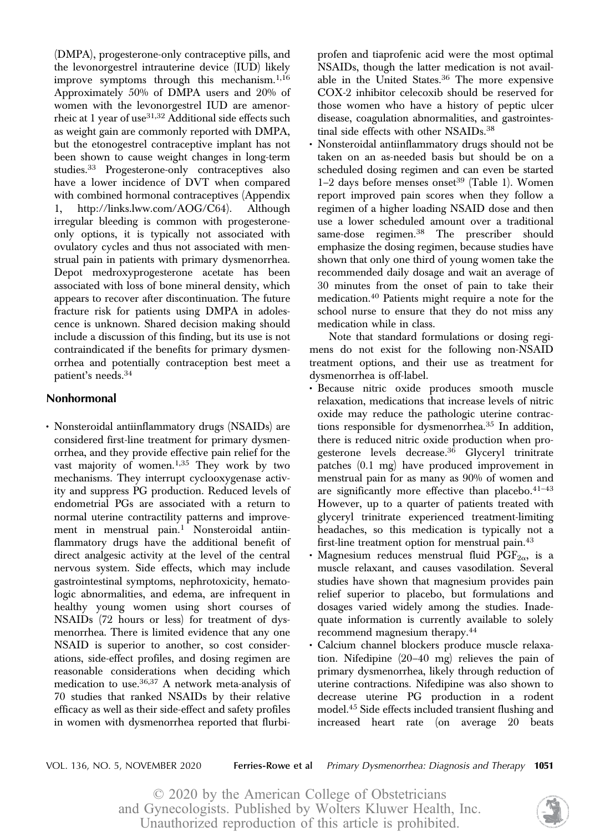(DMPA), progesterone-only contraceptive pills, and the levonorgestrel intrauterine device (IUD) likely improve symptoms through this mechanism.<sup>1,16</sup> Approximately 50% of DMPA users and 20% of women with the levonorgestrel IUD are amenorrheic at 1 year of use $31,32$  Additional side effects such as weight gain are commonly reported with DMPA, but the etonogestrel contraceptive implant has not been shown to cause weight changes in long-term studies.<sup>33</sup> Progesterone-only contraceptives also have a lower incidence of DVT when compared with combined hormonal contraceptives (Appendix 1, [http://links.lww.com/AOG/C64\)](http://links.lww.com/AOG/C64). Although irregular bleeding is common with progesteroneonly options, it is typically not associated with ovulatory cycles and thus not associated with menstrual pain in patients with primary dysmenorrhea. Depot medroxyprogesterone acetate has been associated with loss of bone mineral density, which appears to recover after discontinuation. The future fracture risk for patients using DMPA in adolescence is unknown. Shared decision making should include a discussion of this finding, but its use is not contraindicated if the benefits for primary dysmenorrhea and potentially contraception best meet a patient's needs.<sup>34</sup>

# Nonhormonal

• Nonsteroidal antiinflammatory drugs (NSAIDs) are considered first-line treatment for primary dysmenorrhea, and they provide effective pain relief for the vast majority of women.1,35 They work by two mechanisms. They interrupt cyclooxygenase activity and suppress PG production. Reduced levels of endometrial PGs are associated with a return to normal uterine contractility patterns and improvement in menstrual pain.<sup>1</sup> Nonsteroidal antiinflammatory drugs have the additional benefit of direct analgesic activity at the level of the central nervous system. Side effects, which may include gastrointestinal symptoms, nephrotoxicity, hematologic abnormalities, and edema, are infrequent in healthy young women using short courses of NSAIDs (72 hours or less) for treatment of dysmenorrhea. There is limited evidence that any one NSAID is superior to another, so cost considerations, side-effect profiles, and dosing regimen are reasonable considerations when deciding which medication to use.36,37 A network meta-analysis of 70 studies that ranked NSAIDs by their relative efficacy as well as their side-effect and safety profiles in women with dysmenorrhea reported that flurbiprofen and tiaprofenic acid were the most optimal NSAIDs, though the latter medication is not available in the United States.<sup>36</sup> The more expensive COX-2 inhibitor celecoxib should be reserved for those women who have a history of peptic ulcer disease, coagulation abnormalities, and gastrointestinal side effects with other NSAIDs.<sup>38</sup>

• Nonsteroidal antiinflammatory drugs should not be taken on an as-needed basis but should be on a scheduled dosing regimen and can even be started  $1-2$  days before menses onset<sup>39</sup> (Table 1). Women report improved pain scores when they follow a regimen of a higher loading NSAID dose and then use a lower scheduled amount over a traditional same-dose regimen.<sup>38</sup> The prescriber should emphasize the dosing regimen, because studies have shown that only one third of young women take the recommended daily dosage and wait an average of 30 minutes from the onset of pain to take their medication.<sup>40</sup> Patients might require a note for the school nurse to ensure that they do not miss any medication while in class.

Note that standard formulations or dosing regimens do not exist for the following non-NSAID treatment options, and their use as treatment for dysmenorrhea is off-label.

- Because nitric oxide produces smooth muscle relaxation, medications that increase levels of nitric oxide may reduce the pathologic uterine contractions responsible for dysmenorrhea.<sup>35</sup> In addition, there is reduced nitric oxide production when progesterone levels decrease.36 Glyceryl trinitrate patches (0.1 mg) have produced improvement in menstrual pain for as many as 90% of women and are significantly more effective than placebo. $41-43$ However, up to a quarter of patients treated with glyceryl trinitrate experienced treatment-limiting headaches, so this medication is typically not a first-line treatment option for menstrual pain.<sup>43</sup>
- Magnesium reduces menstrual fluid  $PGF_{2\alpha}$ , is a muscle relaxant, and causes vasodilation. Several studies have shown that magnesium provides pain relief superior to placebo, but formulations and dosages varied widely among the studies. Inadequate information is currently available to solely recommend magnesium therapy.<sup>44</sup>
- Calcium channel blockers produce muscle relaxation. Nifedipine (20–40 mg) relieves the pain of primary dysmenorrhea, likely through reduction of uterine contractions. Nifedipine was also shown to decrease uterine PG production in a rodent model.<sup>45</sup> Side effects included transient flushing and increased heart rate (on average 20 beats

VOL. 136, NO. 5, NOVEMBER 2020 Ferries-Rowe et al Primary Dysmenorrhea: Diagnosis and Therapy 1051

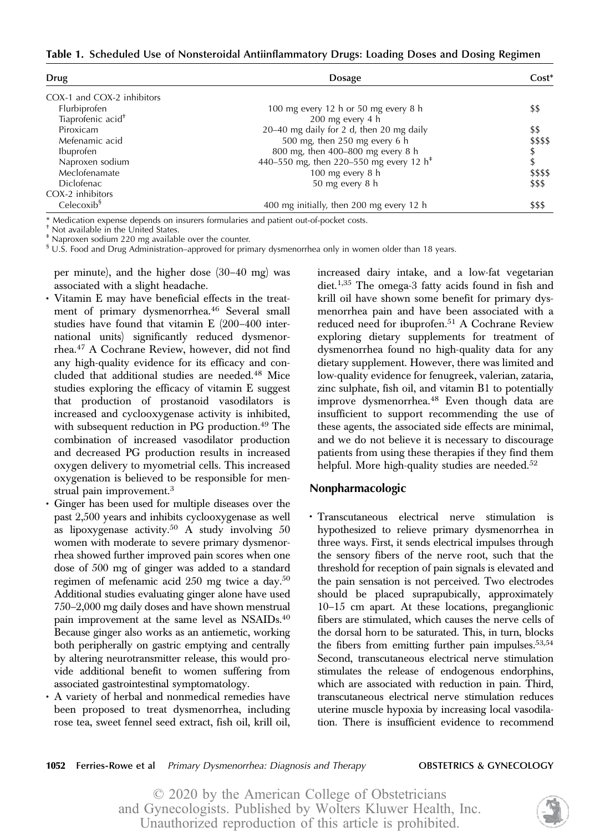Table 1. Scheduled Use of Nonsteroidal Antiinflammatory Drugs: Loading Doses and Dosing Regimen

| Drug                          | <b>Dosage</b>                                       | $Cost*$  |
|-------------------------------|-----------------------------------------------------|----------|
| COX-1 and COX-2 inhibitors    |                                                     |          |
| Flurbiprofen                  | 100 mg every 12 h or 50 mg every 8 h                | \$\$     |
| Tiaprofenic acid <sup>+</sup> | 200 mg every 4 h                                    |          |
| Piroxicam                     | 20-40 mg daily for 2 d, then 20 mg daily            | \$\$     |
| Mefenamic acid                | 500 mg, then 250 mg every 6 h                       | \$\$\$\$ |
| Ibuprofen                     | 800 mg, then 400-800 mg every 8 h                   |          |
| Naproxen sodium               | 440-550 mg, then 220-550 mg every 12 h <sup>+</sup> | \$       |
| Meclofenamate                 | 100 mg every 8 h                                    | \$\$\$\$ |
| Diclofenac                    | 50 mg every 8 h                                     | \$\$\$   |
| COX-2 inhibitors              |                                                     |          |
| Celecoxib <sup>§</sup>        | 400 mg initially, then 200 mg every 12 h            | \$\$\$   |

\* Medication expense depends on insurers formularies and patient out-of-pocket costs.

† Not available in the United States.

‡ Naproxen sodium 220 mg available over the counter.

 $\mathrm{^{8}}$  U.S. Food and Drug Administration–approved for primary dysmenorrhea only in women older than 18 years.

per minute), and the higher dose (30–40 mg) was associated with a slight headache.

- Vitamin E may have beneficial effects in the treatment of primary dysmenorrhea.<sup>46</sup> Several small studies have found that vitamin E (200–400 international units) significantly reduced dysmenorrhea.<sup>47</sup> A Cochrane Review, however, did not find any high-quality evidence for its efficacy and concluded that additional studies are needed.<sup>48</sup> Mice studies exploring the efficacy of vitamin E suggest that production of prostanoid vasodilators is increased and cyclooxygenase activity is inhibited, with subsequent reduction in PG production.<sup>49</sup> The combination of increased vasodilator production and decreased PG production results in increased oxygen delivery to myometrial cells. This increased oxygenation is believed to be responsible for menstrual pain improvement.<sup>3</sup>
- Ginger has been used for multiple diseases over the past 2,500 years and inhibits cyclooxygenase as well as lipoxygenase activity. $50$  A study involving  $50$ women with moderate to severe primary dysmenorrhea showed further improved pain scores when one dose of 500 mg of ginger was added to a standard regimen of mefenamic acid 250 mg twice a day.50 Additional studies evaluating ginger alone have used 750–2,000 mg daily doses and have shown menstrual pain improvement at the same level as NSAIDs.40 Because ginger also works as an antiemetic, working both peripherally on gastric emptying and centrally by altering neurotransmitter release, this would provide additional benefit to women suffering from associated gastrointestinal symptomatology.
- A variety of herbal and nonmedical remedies have been proposed to treat dysmenorrhea, including rose tea, sweet fennel seed extract, fish oil, krill oil,

increased dairy intake, and a low-fat vegetarian diet.1,35 The omega-3 fatty acids found in fish and krill oil have shown some benefit for primary dysmenorrhea pain and have been associated with a reduced need for ibuprofen.<sup>51</sup> A Cochrane Review exploring dietary supplements for treatment of dysmenorrhea found no high-quality data for any dietary supplement. However, there was limited and low-quality evidence for fenugreek, valerian, zataria, zinc sulphate, fish oil, and vitamin B1 to potentially improve dysmenorrhea.<sup>48</sup> Even though data are insufficient to support recommending the use of these agents, the associated side effects are minimal, and we do not believe it is necessary to discourage patients from using these therapies if they find them helpful. More high-quality studies are needed.<sup>52</sup>

# Nonpharmacologic

• Transcutaneous electrical nerve stimulation is hypothesized to relieve primary dysmenorrhea in three ways. First, it sends electrical impulses through the sensory fibers of the nerve root, such that the threshold for reception of pain signals is elevated and the pain sensation is not perceived. Two electrodes should be placed suprapubically, approximately 10–15 cm apart. At these locations, preganglionic fibers are stimulated, which causes the nerve cells of the dorsal horn to be saturated. This, in turn, blocks the fibers from emitting further pain impulses.  $53,54$ Second, transcutaneous electrical nerve stimulation stimulates the release of endogenous endorphins, which are associated with reduction in pain. Third, transcutaneous electrical nerve stimulation reduces uterine muscle hypoxia by increasing local vasodilation. There is insufficient evidence to recommend

### **1052** Ferries-Rowe et al Primary Dysmenorrhea: Diagnosis and Therapy **OBSTETRICS & GYNECOLOGY**

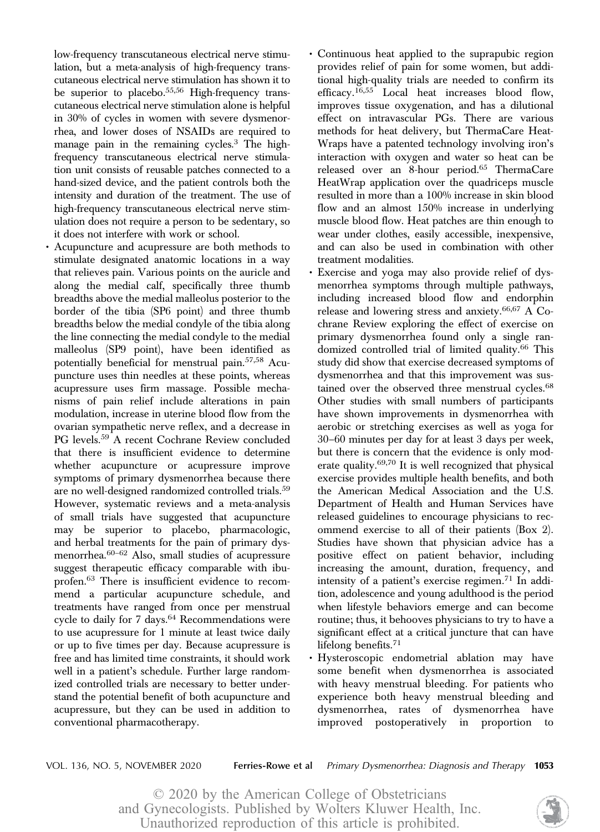low-frequency transcutaneous electrical nerve stimulation, but a meta-analysis of high-frequency transcutaneous electrical nerve stimulation has shown it to be superior to placebo.<sup>55,56</sup> High-frequency transcutaneous electrical nerve stimulation alone is helpful in 30% of cycles in women with severe dysmenorrhea, and lower doses of NSAIDs are required to manage pain in the remaining cycles.3 The highfrequency transcutaneous electrical nerve stimulation unit consists of reusable patches connected to a hand-sized device, and the patient controls both the intensity and duration of the treatment. The use of high-frequency transcutaneous electrical nerve stimulation does not require a person to be sedentary, so it does not interfere with work or school.

- Acupuncture and acupressure are both methods to stimulate designated anatomic locations in a way that relieves pain. Various points on the auricle and along the medial calf, specifically three thumb breadths above the medial malleolus posterior to the border of the tibia (SP6 point) and three thumb breadths below the medial condyle of the tibia along the line connecting the medial condyle to the medial malleolus (SP9 point), have been identified as potentially beneficial for menstrual pain.57,58 Acupuncture uses thin needles at these points, whereas acupressure uses firm massage. Possible mechanisms of pain relief include alterations in pain modulation, increase in uterine blood flow from the ovarian sympathetic nerve reflex, and a decrease in PG levels.<sup>59</sup> A recent Cochrane Review concluded that there is insufficient evidence to determine whether acupuncture or acupressure improve symptoms of primary dysmenorrhea because there are no well-designed randomized controlled trials.<sup>59</sup> However, systematic reviews and a meta-analysis of small trials have suggested that acupuncture may be superior to placebo, pharmacologic, and herbal treatments for the pain of primary dysmenorrhea.60–<sup>62</sup> Also, small studies of acupressure suggest therapeutic efficacy comparable with ibuprofen.<sup>63</sup> There is insufficient evidence to recommend a particular acupuncture schedule, and treatments have ranged from once per menstrual cycle to daily for  $7 \text{ days.}^{64}$  Recommendations were to use acupressure for 1 minute at least twice daily or up to five times per day. Because acupressure is free and has limited time constraints, it should work well in a patient's schedule. Further large randomized controlled trials are necessary to better understand the potential benefit of both acupuncture and acupressure, but they can be used in addition to conventional pharmacotherapy.
- Continuous heat applied to the suprapubic region provides relief of pain for some women, but additional high-quality trials are needed to confirm its efficacy.<sup>16,55</sup> Local heat increases blood flow, improves tissue oxygenation, and has a dilutional effect on intravascular PGs. There are various methods for heat delivery, but ThermaCare Heat-Wraps have a patented technology involving iron's interaction with oxygen and water so heat can be released over an 8-hour period.<sup>65</sup> ThermaCare HeatWrap application over the quadriceps muscle resulted in more than a 100% increase in skin blood flow and an almost 150% increase in underlying muscle blood flow. Heat patches are thin enough to wear under clothes, easily accessible, inexpensive, and can also be used in combination with other treatment modalities.
- Exercise and yoga may also provide relief of dysmenorrhea symptoms through multiple pathways, including increased blood flow and endorphin release and lowering stress and anxiety.<sup>66,67</sup> A Cochrane Review exploring the effect of exercise on primary dysmenorrhea found only a single randomized controlled trial of limited quality.<sup>66</sup> This study did show that exercise decreased symptoms of dysmenorrhea and that this improvement was sustained over the observed three menstrual cycles.<sup>68</sup> Other studies with small numbers of participants have shown improvements in dysmenorrhea with aerobic or stretching exercises as well as yoga for 30–60 minutes per day for at least 3 days per week, but there is concern that the evidence is only moderate quality.69,70 It is well recognized that physical exercise provides multiple health benefits, and both the American Medical Association and the U.S. Department of Health and Human Services have released guidelines to encourage physicians to recommend exercise to all of their patients (Box 2). Studies have shown that physician advice has a positive effect on patient behavior, including increasing the amount, duration, frequency, and intensity of a patient's exercise regimen.<sup>71</sup> In addition, adolescence and young adulthood is the period when lifestyle behaviors emerge and can become routine; thus, it behooves physicians to try to have a significant effect at a critical juncture that can have lifelong benefits.<sup>71</sup>
- Hysteroscopic endometrial ablation may have some benefit when dysmenorrhea is associated with heavy menstrual bleeding. For patients who experience both heavy menstrual bleeding and dysmenorrhea, rates of dysmenorrhea have improved postoperatively in proportion to

VOL. 136, NO. 5, NOVEMBER 2020 Ferries-Rowe et al Primary Dysmenorrhea: Diagnosis and Therapy 1053

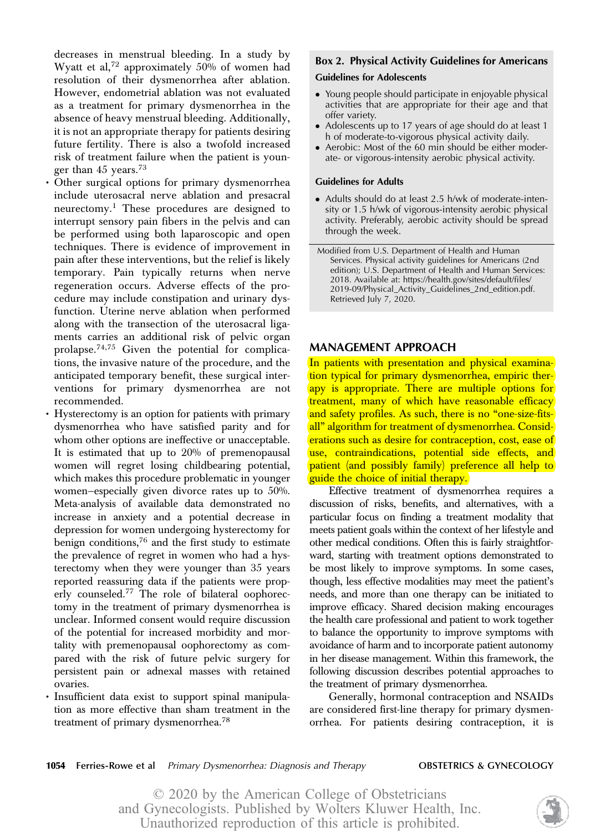decreases in menstrual bleeding. In a study by Wyatt et al,<sup>72</sup> approximately  $50\%$  of women had resolution of their dysmenorrhea after ablation. However, endometrial ablation was not evaluated as a treatment for primary dysmenorrhea in the absence of heavy menstrual bleeding. Additionally, it is not an appropriate therapy for patients desiring future fertility. There is also a twofold increased risk of treatment failure when the patient is younger than  $45$  years.<sup>73</sup>

- Other surgical options for primary dysmenorrhea include uterosacral nerve ablation and presacral neurectomy.<sup>1</sup> These procedures are designed to interrupt sensory pain fibers in the pelvis and can be performed using both laparoscopic and open techniques. There is evidence of improvement in pain after these interventions, but the relief is likely temporary. Pain typically returns when nerve regeneration occurs. Adverse effects of the procedure may include constipation and urinary dysfunction. Uterine nerve ablation when performed along with the transection of the uterosacral ligaments carries an additional risk of pelvic organ prolapse.74,75 Given the potential for complications, the invasive nature of the procedure, and the anticipated temporary benefit, these surgical interventions for primary dysmenorrhea are not recommended.
- Hysterectomy is an option for patients with primary dysmenorrhea who have satisfied parity and for whom other options are ineffective or unacceptable. It is estimated that up to 20% of premenopausal women will regret losing childbearing potential, which makes this procedure problematic in younger women—especially given divorce rates up to 50%. Meta-analysis of available data demonstrated no increase in anxiety and a potential decrease in depression for women undergoing hysterectomy for benign conditions, $76$  and the first study to estimate the prevalence of regret in women who had a hysterectomy when they were younger than 35 years reported reassuring data if the patients were properly counseled.<sup>77</sup> The role of bilateral oophorectomy in the treatment of primary dysmenorrhea is unclear. Informed consent would require discussion of the potential for increased morbidity and mortality with premenopausal oophorectomy as compared with the risk of future pelvic surgery for persistent pain or adnexal masses with retained ovaries.
- Insufficient data exist to support spinal manipulation as more effective than sham treatment in the treatment of primary dysmenorrhea.<sup>78</sup>

# Box 2. Physical Activity Guidelines for Americans

# Guidelines for Adolescents

- Young people should participate in enjoyable physical activities that are appropriate for their age and that offer variety.
- Adolescents up to 17 years of age should do at least 1 h of moderate-to-vigorous physical activity daily.
- Aerobic: Most of the 60 min should be either moderate- or vigorous-intensity aerobic physical activity.

### Guidelines for Adults

• Adults should do at least 2.5 h/wk of moderate-intensity or 1.5 h/wk of vigorous-intensity aerobic physical activity. Preferably, aerobic activity should be spread through the week.

Modified from U.S. Department of Health and Human Services. Physical activity guidelines for Americans (2nd edition); U.S. Department of Health and Human Services: 2018. Available at: [https://health.gov/sites/default/files/](https://health.gov/sites/default/files/2019-09/Physical_Activity_Guidelines_2nd_edition.pdf) [2019-09/Physical\\_Activity\\_Guidelines\\_2nd\\_edition.pdf.](https://health.gov/sites/default/files/2019-09/Physical_Activity_Guidelines_2nd_edition.pdf) Retrieved July 7, 2020.

# MANAGEMENT APPROACH

In patients with presentation and physical examination typical for primary dysmenorrhea, empiric therapy is appropriate. There are multiple options for treatment, many of which have reasonable efficacy and safety profiles. As such, there is no "one-size-fitsall" algorithm for treatment of dysmenorrhea. Considerations such as desire for contraception, cost, ease of use, contraindications, potential side effects, and patient (and possibly family) preference all help to guide the choice of initial therapy.

Effective treatment of dysmenorrhea requires a discussion of risks, benefits, and alternatives, with a particular focus on finding a treatment modality that meets patient goals within the context of her lifestyle and other medical conditions. Often this is fairly straightforward, starting with treatment options demonstrated to be most likely to improve symptoms. In some cases, though, less effective modalities may meet the patient's needs, and more than one therapy can be initiated to improve efficacy. Shared decision making encourages the health care professional and patient to work together to balance the opportunity to improve symptoms with avoidance of harm and to incorporate patient autonomy in her disease management. Within this framework, the following discussion describes potential approaches to the treatment of primary dysmenorrhea.

Generally, hormonal contraception and NSAIDs are considered first-line therapy for primary dysmenorrhea. For patients desiring contraception, it is

**1054** Ferries-Rowe et al Primary Dysmenorrhea: Diagnosis and Therapy **OBSTETRICS & GYNECOLOGY** 

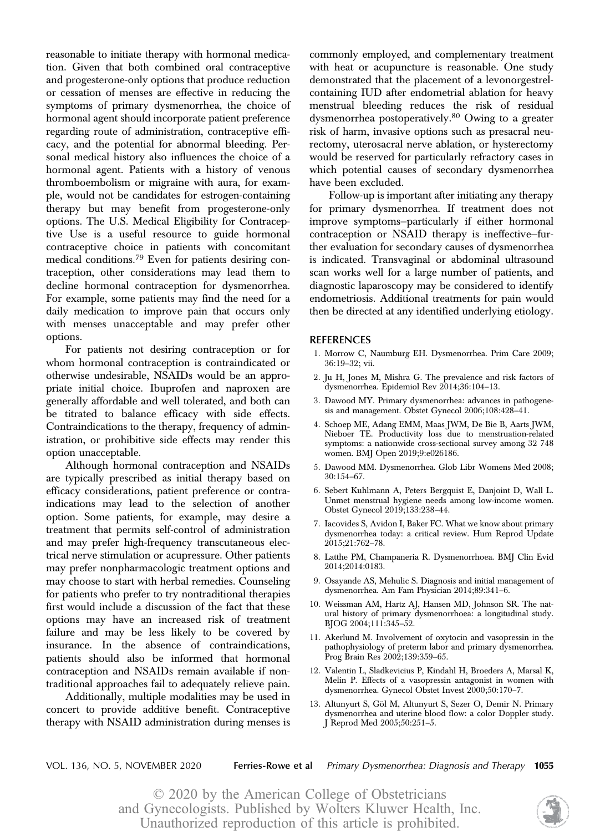reasonable to initiate therapy with hormonal medication. Given that both combined oral contraceptive and progesterone-only options that produce reduction or cessation of menses are effective in reducing the symptoms of primary dysmenorrhea, the choice of hormonal agent should incorporate patient preference regarding route of administration, contraceptive efficacy, and the potential for abnormal bleeding. Personal medical history also influences the choice of a hormonal agent. Patients with a history of venous thromboembolism or migraine with aura, for example, would not be candidates for estrogen-containing therapy but may benefit from progesterone-only options. The U.S. Medical Eligibility for Contraceptive Use is a useful resource to guide hormonal contraceptive choice in patients with concomitant medical conditions.<sup>79</sup> Even for patients desiring contraception, other considerations may lead them to decline hormonal contraception for dysmenorrhea. For example, some patients may find the need for a daily medication to improve pain that occurs only with menses unacceptable and may prefer other options.

For patients not desiring contraception or for whom hormonal contraception is contraindicated or otherwise undesirable, NSAIDs would be an appropriate initial choice. Ibuprofen and naproxen are generally affordable and well tolerated, and both can be titrated to balance efficacy with side effects. Contraindications to the therapy, frequency of administration, or prohibitive side effects may render this option unacceptable.

Although hormonal contraception and NSAIDs are typically prescribed as initial therapy based on efficacy considerations, patient preference or contraindications may lead to the selection of another option. Some patients, for example, may desire a treatment that permits self-control of administration and may prefer high-frequency transcutaneous electrical nerve stimulation or acupressure. Other patients may prefer nonpharmacologic treatment options and may choose to start with herbal remedies. Counseling for patients who prefer to try nontraditional therapies first would include a discussion of the fact that these options may have an increased risk of treatment failure and may be less likely to be covered by insurance. In the absence of contraindications, patients should also be informed that hormonal contraception and NSAIDs remain available if nontraditional approaches fail to adequately relieve pain.

Additionally, multiple modalities may be used in concert to provide additive benefit. Contraceptive therapy with NSAID administration during menses is commonly employed, and complementary treatment with heat or acupuncture is reasonable. One study demonstrated that the placement of a levonorgestrelcontaining IUD after endometrial ablation for heavy menstrual bleeding reduces the risk of residual dysmenorrhea postoperatively.<sup>80</sup> Owing to a greater risk of harm, invasive options such as presacral neurectomy, uterosacral nerve ablation, or hysterectomy would be reserved for particularly refractory cases in which potential causes of secondary dysmenorrhea have been excluded.

Follow-up is important after initiating any therapy for primary dysmenorrhea. If treatment does not improve symptoms—particularly if either hormonal contraception or NSAID therapy is ineffective—further evaluation for secondary causes of dysmenorrhea is indicated. Transvaginal or abdominal ultrasound scan works well for a large number of patients, and diagnostic laparoscopy may be considered to identify endometriosis. Additional treatments for pain would then be directed at any identified underlying etiology.

### REFERENCES

- 1. Morrow C, Naumburg EH. Dysmenorrhea. Prim Care 2009; 36:19–32; vii.
- 2. Ju H, Jones M, Mishra G. The prevalence and risk factors of dysmenorrhea. Epidemiol Rev 2014;36:104–13.
- 3. Dawood MY. Primary dysmenorrhea: advances in pathogenesis and management. Obstet Gynecol 2006;108:428–41.
- 4. Schoep ME, Adang EMM, Maas JWM, De Bie B, Aarts JWM, Nieboer TE. Productivity loss due to menstruation-related symptoms: a nationwide cross-sectional survey among 32 748 women. BMJ Open 2019;9:e026186.
- 5. Dawood MM. Dysmenorrhea. Glob Libr Womens Med 2008; 30:154–67.
- 6. Sebert Kuhlmann A, Peters Bergquist E, Danjoint D, Wall L. Unmet menstrual hygiene needs among low-income women. Obstet Gynecol 2019;133:238–44.
- 7. Iacovides S, Avidon I, Baker FC. What we know about primary dysmenorrhea today: a critical review. Hum Reprod Update 2015;21:762–78.
- 8. Latthe PM, Champaneria R. Dysmenorrhoea. BMJ Clin Evid 2014;2014:0183.
- 9. Osayande AS, Mehulic S. Diagnosis and initial management of dysmenorrhea. Am Fam Physician 2014;89:341–6.
- 10. Weissman AM, Hartz AJ, Hansen MD, Johnson SR. The natural history of primary dysmenorrhoea: a longitudinal study. BJOG 2004;111:345–52.
- 11. Akerlund M. Involvement of oxytocin and vasopressin in the pathophysiology of preterm labor and primary dysmenorrhea. Prog Brain Res 2002;139:359–65.
- 12. Valentin L, Sladkevicius P, Kindahl H, Broeders A, Marsal K, Melin P. Effects of a vasopressin antagonist in women with dysmenorrhea. Gynecol Obstet Invest 2000;50:170–7.
- 13. Altunyurt S, Göl M, Altunyurt S, Sezer O, Demir N. Primary dysmenorrhea and uterine blood flow: a color Doppler study. J Reprod Med 2005;50:251–5.

VOL. 136, NO. 5, NOVEMBER 2020 Ferries-Rowe et al Primary Dysmenorrhea: Diagnosis and Therapy 1055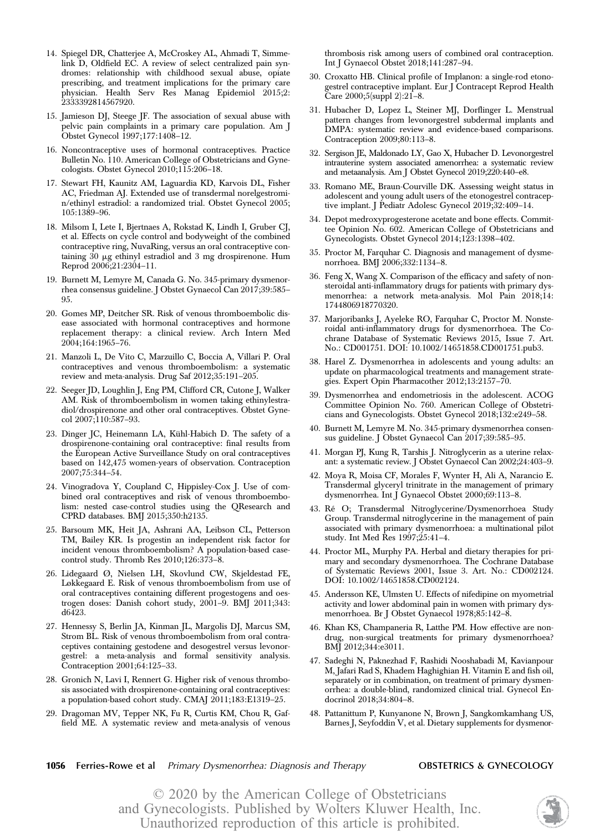- 14. Spiegel DR, Chatterjee A, McCroskey AL, Ahmadi T, Simmelink D, Oldfield EC. A review of select centralized pain syndromes: relationship with childhood sexual abuse, opiate prescribing, and treatment implications for the primary care physician. Health Serv Res Manag Epidemiol 2015;2: 2333392814567920.
- 15. Jamieson DJ, Steege JF. The association of sexual abuse with pelvic pain complaints in a primary care population. Am J Obstet Gynecol 1997;177:1408–12.
- 16. Noncontraceptive uses of hormonal contraceptives. Practice Bulletin No. 110. American College of Obstetricians and Gynecologists. Obstet Gynecol 2010;115:206–18.
- 17. Stewart FH, Kaunitz AM, Laguardia KD, Karvois DL, Fisher AC, Friedman AJ. Extended use of transdermal norelgestromin/ethinyl estradiol: a randomized trial. Obstet Gynecol 2005; 105:1389–96.
- 18. Milsom I, Lete I, Bjertnaes A, Rokstad K, Lindh I, Gruber CJ, et al. Effects on cycle control and bodyweight of the combined contraceptive ring, NuvaRing, versus an oral contraceptive containing 30 mg ethinyl estradiol and 3 mg drospirenone. Hum Reprod 2006;21:2304–11.
- 19. Burnett M, Lemyre M, Canada G. No. 345-primary dysmenorrhea consensus guideline. J Obstet Gynaecol Can 2017;39:585– 95.
- 20. Gomes MP, Deitcher SR. Risk of venous thromboembolic disease associated with hormonal contraceptives and hormone replacement therapy: a clinical review. Arch Intern Med 2004;164:1965–76.
- 21. Manzoli L, De Vito C, Marzuillo C, Boccia A, Villari P. Oral contraceptives and venous thromboembolism: a systematic review and meta-analysis. Drug Saf 2012;35:191–205.
- 22. Seeger JD, Loughlin J, Eng PM, Clifford CR, Cutone J, Walker AM. Risk of thromboembolism in women taking ethinylestradiol/drospirenone and other oral contraceptives. Obstet Gynecol 2007;110:587–93.
- 23. Dinger JC, Heinemann LA, Kühl-Habich D. The safety of a drospirenone-containing oral contraceptive: final results from the European Active Surveillance Study on oral contraceptives based on 142,475 women-years of observation. Contraception 2007;75:344–54.
- 24. Vinogradova Y, Coupland C, Hippisley-Cox J. Use of combined oral contraceptives and risk of venous thromboembolism: nested case-control studies using the QResearch and CPRD databases. BMJ 2015;350:h2135.
- 25. Barsoum MK, Heit JA, Ashrani AA, Leibson CL, Petterson TM, Bailey KR. Is progestin an independent risk factor for incident venous thromboembolism? A population-based casecontrol study. Thromb Res 2010;126:373–8.
- 26. Lidegaard Ø, Nielsen LH, Skovlund CW, Skjeldestad FE, Løkkegaard E. Risk of venous thromboembolism from use of oral contraceptives containing different progestogens and oestrogen doses: Danish cohort study, 2001–9. BMJ 2011;343: d6423.
- 27. Hennessy S, Berlin JA, Kinman JL, Margolis DJ, Marcus SM, Strom BL. Risk of venous thromboembolism from oral contraceptives containing gestodene and desogestrel versus levonorgestrel: a meta-analysis and formal sensitivity analysis. Contraception 2001;64:125–33.
- 28. Gronich N, Lavi I, Rennert G. Higher risk of venous thrombosis associated with drospirenone-containing oral contraceptives: a population-based cohort study. CMAJ 2011;183:E1319–25.
- 29. Dragoman MV, Tepper NK, Fu R, Curtis KM, Chou R, Gaffield ME. A systematic review and meta-analysis of venous

thrombosis risk among users of combined oral contraception. Int J Gynaecol Obstet 2018;141:287–94.

- 30. Croxatto HB. Clinical profile of Implanon: a single-rod etonogestrel contraceptive implant. Eur J Contracept Reprod Health Care 2000;5(suppl 2):21–8.
- 31. Hubacher D, Lopez L, Steiner MJ, Dorflinger L. Menstrual pattern changes from levonorgestrel subdermal implants and DMPA: systematic review and evidence-based comparisons. Contraception 2009;80:113–8.
- 32. Sergison JE, Maldonado LY, Gao X, Hubacher D. Levonorgestrel intrauterine system associated amenorrhea: a systematic review and metaanalysis. Am J Obstet Gynecol 2019;220:440–e8.
- 33. Romano ME, Braun-Courville DK. Assessing weight status in adolescent and young adult users of the etonogestrel contraceptive implant. J Pediatr Adolesc Gynecol 2019;32:409–14.
- 34. Depot medroxyprogesterone acetate and bone effects. Committee Opinion No. 602. American College of Obstetricians and Gynecologists. Obstet Gynecol 2014;123:1398–402.
- 35. Proctor M, Farquhar C. Diagnosis and management of dysmenorrhoea. BMJ 2006;332:1134–8.
- 36. Feng X, Wang X. Comparison of the efficacy and safety of nonsteroidal anti-inflammatory drugs for patients with primary dysmenorrhea: a network meta-analysis. Mol Pain 2018;14: 1744806918770320.
- 37. Marjoribanks J, Ayeleke RO, Farquhar C, Proctor M. Nonsteroidal anti-inflammatory drugs for dysmenorrhoea. The Cochrane Database of Systematic Reviews 2015, Issue 7. Art. No.: CD001751. DOI: 10.1002/14651858.CD001751.pub3.
- 38. Harel Z. Dysmenorrhea in adolescents and young adults: an update on pharmacological treatments and management strategies. Expert Opin Pharmacother 2012;13:2157–70.
- 39. Dysmenorrhea and endometriosis in the adolescent. ACOG Committee Opinion No. 760. American College of Obstetricians and Gynecologists. Obstet Gynecol 2018;132:e249–58.
- 40. Burnett M, Lemyre M. No. 345-primary dysmenorrhea consensus guideline. J Obstet Gynaecol Can 2017;39:585–95.
- 41. Morgan PJ, Kung R, Tarshis J. Nitroglycerin as a uterine relaxant: a systematic review. J Obstet Gynaecol Can 2002;24:403–9.
- 42. Moya R, Moisa CF, Morales F, Wynter H, Ali A, Narancio E. Transdermal glyceryl trinitrate in the management of primary dysmenorrhea. Int J Gynaecol Obstet 2000;69:113–8.
- 43. Ré O; Transdermal Nitroglycerine/Dysmenorrhoea Study Group. Transdermal nitroglycerine in the management of pain associated with primary dysmenorrhoea: a multinational pilot study. Int Med Res 1997;25:41–4.
- 44. Proctor ML, Murphy PA. Herbal and dietary therapies for primary and secondary dysmenorrhoea. The Cochrane Database of Systematic Reviews 2001, Issue 3. Art. No.: CD002124. DOI: 10.1002/14651858.CD002124.
- 45. Andersson KE, Ulmsten U. Effects of nifedipine on myometrial activity and lower abdominal pain in women with primary dysmenorrhoea. Br J Obstet Gynaecol 1978;85:142–8.
- 46. Khan KS, Champaneria R, Latthe PM. How effective are nondrug, non-surgical treatments for primary dysmenorrhoea? BMJ 2012;344:e3011.
- 47. Sadeghi N, Paknezhad F, Rashidi Nooshabadi M, Kavianpour M, Jafari Rad S, Khadem Haghighian H. Vitamin E and fish oil, separately or in combination, on treatment of primary dysmenorrhea: a double-blind, randomized clinical trial. Gynecol Endocrinol 2018;34:804–8.
- 48. Pattanittum P, Kunyanone N, Brown J, Sangkomkamhang US, Barnes J, Seyfoddin V, et al. Dietary supplements for dysmenor-
- **1056** Ferries-Rowe et al Primary Dysmenorrhea: Diagnosis and Therapy **OBSTETRICS & GYNECOLOGY**

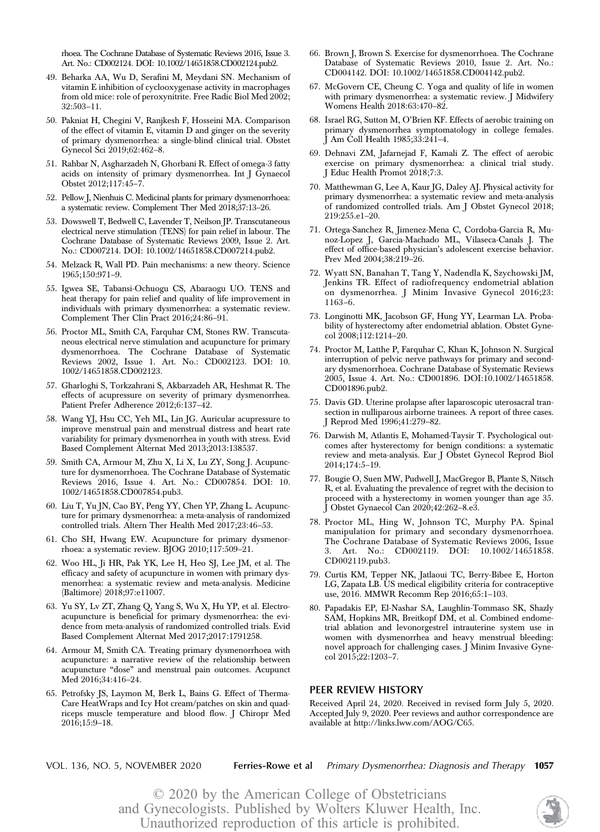rhoea. The Cochrane Database of Systematic Reviews 2016, Issue 3. Art. No.: CD002124. DOI: 10.1002/14651858.CD002124.pub2.

- 49. Beharka AA, Wu D, Serafini M, Meydani SN. Mechanism of vitamin E inhibition of cyclooxygenase activity in macrophages from old mice: role of peroxynitrite. Free Radic Biol Med 2002; 32:503–11.
- 50. Pakniat H, Chegini V, Ranjkesh F, Hosseini MA. Comparison of the effect of vitamin E, vitamin D and ginger on the severity of primary dysmenorrhea: a single-blind clinical trial. Obstet Gynecol Sci 2019;62:462–8.
- 51. Rahbar N, Asgharzadeh N, Ghorbani R. Effect of omega-3 fatty acids on intensity of primary dysmenorrhea. Int J Gynaecol Obstet 2012;117:45–7.
- 52. Pellow J, Nienhuis C. Medicinal plants for primary dysmenorrhoea: a systematic review. Complement Ther Med 2018;37:13–26.
- 53. Dowswell T, Bedwell C, Lavender T, Neilson JP. Transcutaneous electrical nerve stimulation (TENS) for pain relief in labour. The Cochrane Database of Systematic Reviews 2009, Issue 2. Art. No.: CD007214. DOI: 10.1002/14651858.CD007214.pub2.
- 54. Melzack R, Wall PD. Pain mechanisms: a new theory. Science 1965;150:971–9.
- 55. Igwea SE, Tabansi-Ochuogu CS, Abaraogu UO. TENS and heat therapy for pain relief and quality of life improvement in individuals with primary dysmenorrhea: a systematic review. Complement Ther Clin Pract 2016;24:86–91.
- 56. Proctor ML, Smith CA, Farquhar CM, Stones RW. Transcutaneous electrical nerve stimulation and acupuncture for primary dysmenorrhoea. The Cochrane Database of Systematic Reviews 2002, Issue 1. Art. No.: CD002123. DOI: 10. 1002/14651858.CD002123.
- 57. Gharloghi S, Torkzahrani S, Akbarzadeh AR, Heshmat R. The effects of acupressure on severity of primary dysmenorrhea. Patient Prefer Adherence 2012;6:137–42.
- 58. Wang YJ, Hsu CC, Yeh ML, Lin JG. Auricular acupressure to improve menstrual pain and menstrual distress and heart rate variability for primary dysmenorrhea in youth with stress. Evid Based Complement Alternat Med 2013;2013:138537.
- 59. Smith CA, Armour M, Zhu X, Li X, Lu ZY, Song J. Acupuncture for dysmenorrhoea. The Cochrane Database of Systematic Reviews 2016, Issue 4. Art. No.: CD007854. DOI: 10. 1002/14651858.CD007854.pub3.
- 60. Liu T, Yu JN, Cao BY, Peng YY, Chen YP, Zhang L. Acupuncture for primary dysmenorrhea: a meta-analysis of randomized controlled trials. Altern Ther Health Med 2017;23:46–53.
- 61. Cho SH, Hwang EW. Acupuncture for primary dysmenorrhoea: a systematic review. BJOG 2010;117:509–21.
- 62. Woo HL, Ji HR, Pak YK, Lee H, Heo SJ, Lee JM, et al. The efficacy and safety of acupuncture in women with primary dysmenorrhea: a systematic review and meta-analysis. Medicine (Baltimore) 2018;97:e11007.
- 63. Yu SY, Lv ZT, Zhang Q, Yang S, Wu X, Hu YP, et al. Electroacupuncture is beneficial for primary dysmenorrhea: the evidence from meta-analysis of randomized controlled trials. Evid Based Complement Alternat Med 2017;2017:1791258.
- 64. Armour M, Smith CA. Treating primary dysmenorrhoea with acupuncture: a narrative review of the relationship between acupuncture "dose" and menstrual pain outcomes. Acupunct Med 2016;34:416–24.
- 65. Petrofsky JS, Laymon M, Berk L, Bains G. Effect of Therma-Care HeatWraps and Icy Hot cream/patches on skin and quadriceps muscle temperature and blood flow. J Chiropr Med 2016;15:9–18.
- 66. Brown J, Brown S. Exercise for dysmenorrhoea. The Cochrane Database of Systematic Reviews 2010, Issue 2. Art. No.: CD004142. DOI: 10.1002/14651858.CD004142.pub2.
- 67. McGovern CE, Cheung C. Yoga and quality of life in women with primary dysmenorrhea: a systematic review. J Midwifery Womens Health 2018:63:470–82.
- 68. Israel RG, Sutton M, O'Brien KF. Effects of aerobic training on primary dysmenorrhea symptomatology in college females. J Am Coll Health 1985;33:241–4.
- 69. Dehnavi ZM, Jafarnejad F, Kamali Z. The effect of aerobic exercise on primary dysmenorrhea: a clinical trial study. J Educ Health Promot 2018;7:3.
- 70. Matthewman G, Lee A, Kaur JG, Daley AJ. Physical activity for primary dysmenorrhea: a systematic review and meta-analysis of randomized controlled trials. Am J Obstet Gynecol 2018; 219:255.e1–20.
- 71. Ortega-Sanchez R, Jimenez-Mena C, Cordoba-Garcia R, Munoz-Lopez J, Garcia-Machado ML, Vilaseca-Canals J. The effect of office-based physician's adolescent exercise behavior. Prev Med 2004;38:219–26.
- 72. Wyatt SN, Banahan T, Tang Y, Nadendla K, Szychowski JM, Jenkins TR. Effect of radiofrequency endometrial ablation on dysmenorrhea. J Minim Invasive Gynecol 2016;23: 1163–6.
- 73. Longinotti MK, Jacobson GF, Hung YY, Learman LA. Probability of hysterectomy after endometrial ablation. Obstet Gynecol 2008;112:1214–20.
- 74. Proctor M, Latthe P, Farquhar C, Khan K, Johnson N. Surgical interruption of pelvic nerve pathways for primary and secondary dysmenorrhoea. Cochrane Database of Systematic Reviews 2005, Issue 4. Art. No.: CD001896. DOI:10.1002/14651858. CD001896.pub2.
- 75. Davis GD. Uterine prolapse after laparoscopic uterosacral transection in nulliparous airborne trainees. A report of three cases. J Reprod Med 1996;41:279–82.
- 76. Darwish M, Atlantis E, Mohamed-Taysir T. Psychological outcomes after hysterectomy for benign conditions: a systematic review and meta-analysis. Eur J Obstet Gynecol Reprod Biol 2014;174:5–19.
- 77. Bougie O, Suen MW, Pudwell J, MacGregor B, Plante S, Nitsch R, et al. Evaluating the prevalence of regret with the decision to proceed with a hysterectomy in women younger than age 35. J Obstet Gynaecol Can 2020;42:262–8.e3.
- 78. Proctor ML, Hing W, Johnson TC, Murphy PA. Spinal manipulation for primary and secondary dysmenorrhoea. The Cochrane Database of Systematic Reviews 2006, Issue Art. No.: CD002119. DOI: 10.1002/14651858. CD002119.pub3.
- 79. Curtis KM, Tepper NK, Jatlaoui TC, Berry-Bibee E, Horton LG, Zapata LB. US medical eligibility criteria for contraceptive use, 2016. MMWR Recomm Rep 2016;65:1–103.
- 80. Papadakis EP, El-Nashar SA, Laughlin-Tommaso SK, Shazly SAM, Hopkins MR, Breitkopf DM, et al. Combined endometrial ablation and levonorgestrel intrauterine system use in women with dysmenorrhea and heavy menstrual bleeding: novel approach for challenging cases. J Minim Invasive Gynecol 2015;22:1203–7.

## PEER REVIEW HISTORY

Received April 24, 2020. Received in revised form July 5, 2020. Accepted July 9, 2020. Peer reviews and author correspondence are available at<http://links.lww.com/AOG/C65>.

VOL. 136, NO. 5, NOVEMBER 2020 Ferries-Rowe et al Primary Dysmenorrhea: Diagnosis and Therapy 1057